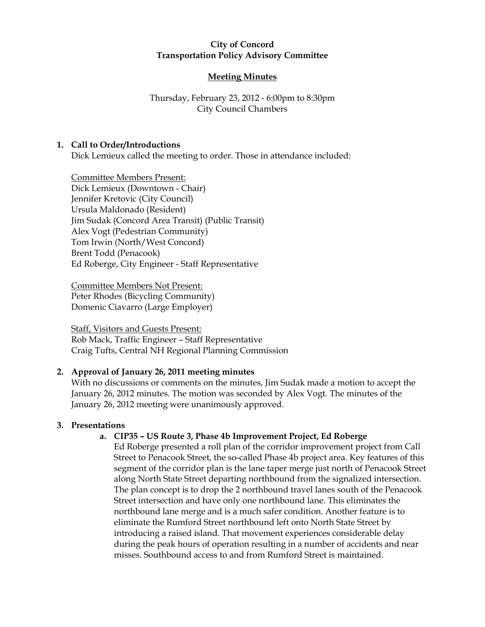## City of Concord Transportation Policy Advisory Committee

# Meeting Minutes

# Thursday, February 23, 2012 - 6:00pm to 8:30pm City Council Chambers

# 1. Call to Order/Introductions

Dick Lemieux called the meeting to order. Those in attendance included:

Committee Members Present: Dick Lemieux (Downtown - Chair) Jennifer Kretovic (City Council) Ursula Maldonado (Resident) Jim Sudak (Concord Area Transit) (Public Transit) Alex Vogt (Pedestrian Community) Tom Irwin (North/West Concord) Brent Todd (Penacook) Ed Roberge, City Engineer - Staff Representative

Committee Members Not Present: Peter Rhodes (Bicycling Community) Domenic Ciavarro (Large Employer)

Staff, Visitors and Guests Present: Rob Mack, Traffic Engineer – Staff Representative Craig Tufts, Central NH Regional Planning Commission

# 2. Approval of January 26, 2011 meeting minutes

With no discussions or comments on the minutes, Jim Sudak made a motion to accept the January 26, 2012 minutes. The motion was seconded by Alex Vogt. The minutes of the January 26, 2012 meeting were unanimously approved.

# 3. Presentations

# a. CIP35 – US Route 3, Phase 4b Improvement Project, Ed Roberge

Ed Roberge presented a roll plan of the corridor improvement project from Call Street to Penacook Street, the so-called Phase 4b project area. Key features of this segment of the corridor plan is the lane taper merge just north of Penacook Street along North State Street departing northbound from the signalized intersection. The plan concept is to drop the 2 northbound travel lanes south of the Penacook Street intersection and have only one northbound lane. This eliminates the northbound lane merge and is a much safer condition. Another feature is to eliminate the Rumford Street northbound left onto North State Street by introducing a raised island. That movement experiences considerable delay during the peak hours of operation resulting in a number of accidents and near misses. Southbound access to and from Rumford Street is maintained.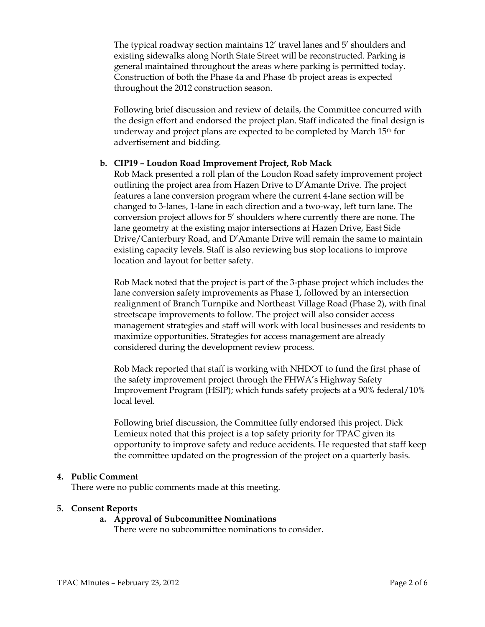The typical roadway section maintains 12' travel lanes and 5' shoulders and existing sidewalks along North State Street will be reconstructed. Parking is general maintained throughout the areas where parking is permitted today. Construction of both the Phase 4a and Phase 4b project areas is expected throughout the 2012 construction season.

Following brief discussion and review of details, the Committee concurred with the design effort and endorsed the project plan. Staff indicated the final design is underway and project plans are expected to be completed by March  $15<sup>th</sup>$  for advertisement and bidding.

### b. CIP19 – Loudon Road Improvement Project, Rob Mack

Rob Mack presented a roll plan of the Loudon Road safety improvement project outlining the project area from Hazen Drive to D'Amante Drive. The project features a lane conversion program where the current 4-lane section will be changed to 3-lanes, 1-lane in each direction and a two-way, left turn lane. The conversion project allows for 5' shoulders where currently there are none. The lane geometry at the existing major intersections at Hazen Drive, East Side Drive/Canterbury Road, and D'Amante Drive will remain the same to maintain existing capacity levels. Staff is also reviewing bus stop locations to improve location and layout for better safety.

Rob Mack noted that the project is part of the 3-phase project which includes the lane conversion safety improvements as Phase 1, followed by an intersection realignment of Branch Turnpike and Northeast Village Road (Phase 2), with final streetscape improvements to follow. The project will also consider access management strategies and staff will work with local businesses and residents to maximize opportunities. Strategies for access management are already considered during the development review process.

Rob Mack reported that staff is working with NHDOT to fund the first phase of the safety improvement project through the FHWA's Highway Safety Improvement Program (HSIP); which funds safety projects at a 90% federal/10% local level.

Following brief discussion, the Committee fully endorsed this project. Dick Lemieux noted that this project is a top safety priority for TPAC given its opportunity to improve safety and reduce accidents. He requested that staff keep the committee updated on the progression of the project on a quarterly basis.

#### 4. Public Comment

There were no public comments made at this meeting.

#### 5. Consent Reports

#### a. Approval of Subcommittee Nominations

There were no subcommittee nominations to consider.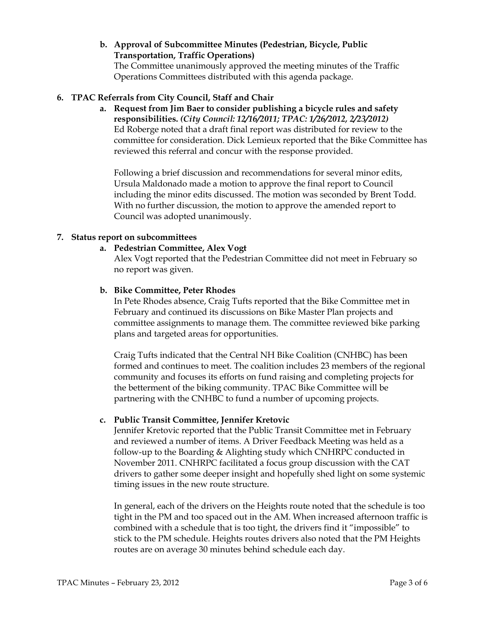b. Approval of Subcommittee Minutes (Pedestrian, Bicycle, Public Transportation, Traffic Operations)

The Committee unanimously approved the meeting minutes of the Traffic Operations Committees distributed with this agenda package.

# 6. TPAC Referrals from City Council, Staff and Chair

a. Request from Jim Baer to consider publishing a bicycle rules and safety responsibilities. (City Council: 12/16/2011; TPAC: 1/26/2012, 2/23/2012) Ed Roberge noted that a draft final report was distributed for review to the committee for consideration. Dick Lemieux reported that the Bike Committee has reviewed this referral and concur with the response provided.

Following a brief discussion and recommendations for several minor edits, Ursula Maldonado made a motion to approve the final report to Council including the minor edits discussed. The motion was seconded by Brent Todd. With no further discussion, the motion to approve the amended report to Council was adopted unanimously.

### 7. Status report on subcommittees

### a. Pedestrian Committee, Alex Vogt

Alex Vogt reported that the Pedestrian Committee did not meet in February so no report was given.

#### b. Bike Committee, Peter Rhodes

In Pete Rhodes absence, Craig Tufts reported that the Bike Committee met in February and continued its discussions on Bike Master Plan projects and committee assignments to manage them. The committee reviewed bike parking plans and targeted areas for opportunities.

Craig Tufts indicated that the Central NH Bike Coalition (CNHBC) has been formed and continues to meet. The coalition includes 23 members of the regional community and focuses its efforts on fund raising and completing projects for the betterment of the biking community. TPAC Bike Committee will be partnering with the CNHBC to fund a number of upcoming projects.

#### c. Public Transit Committee, Jennifer Kretovic

Jennifer Kretovic reported that the Public Transit Committee met in February and reviewed a number of items. A Driver Feedback Meeting was held as a follow-up to the Boarding & Alighting study which CNHRPC conducted in November 2011. CNHRPC facilitated a focus group discussion with the CAT drivers to gather some deeper insight and hopefully shed light on some systemic timing issues in the new route structure.

In general, each of the drivers on the Heights route noted that the schedule is too tight in the PM and too spaced out in the AM. When increased afternoon traffic is combined with a schedule that is too tight, the drivers find it "impossible" to stick to the PM schedule. Heights routes drivers also noted that the PM Heights routes are on average 30 minutes behind schedule each day.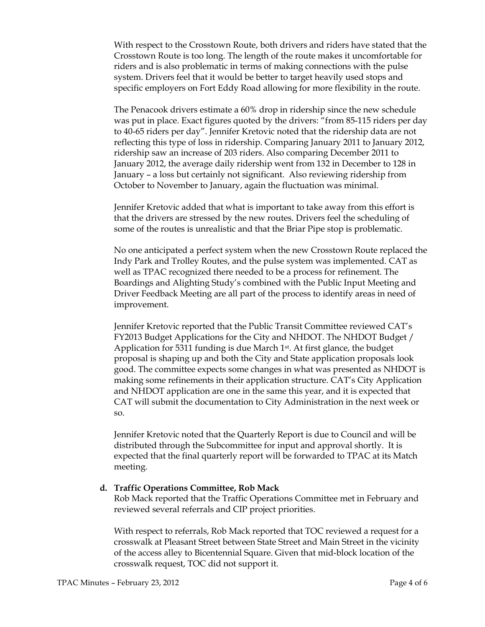With respect to the Crosstown Route, both drivers and riders have stated that the Crosstown Route is too long. The length of the route makes it uncomfortable for riders and is also problematic in terms of making connections with the pulse system. Drivers feel that it would be better to target heavily used stops and specific employers on Fort Eddy Road allowing for more flexibility in the route.

The Penacook drivers estimate a 60% drop in ridership since the new schedule was put in place. Exact figures quoted by the drivers: "from 85-115 riders per day to 40-65 riders per day". Jennifer Kretovic noted that the ridership data are not reflecting this type of loss in ridership. Comparing January 2011 to January 2012, ridership saw an increase of 203 riders. Also comparing December 2011 to January 2012, the average daily ridership went from 132 in December to 128 in January – a loss but certainly not significant. Also reviewing ridership from October to November to January, again the fluctuation was minimal.

Jennifer Kretovic added that what is important to take away from this effort is that the drivers are stressed by the new routes. Drivers feel the scheduling of some of the routes is unrealistic and that the Briar Pipe stop is problematic.

No one anticipated a perfect system when the new Crosstown Route replaced the Indy Park and Trolley Routes, and the pulse system was implemented. CAT as well as TPAC recognized there needed to be a process for refinement. The Boardings and Alighting Study's combined with the Public Input Meeting and Driver Feedback Meeting are all part of the process to identify areas in need of improvement.

Jennifer Kretovic reported that the Public Transit Committee reviewed CAT's FY2013 Budget Applications for the City and NHDOT. The NHDOT Budget / Application for 5311 funding is due March 1st. At first glance, the budget proposal is shaping up and both the City and State application proposals look good. The committee expects some changes in what was presented as NHDOT is making some refinements in their application structure. CAT's City Application and NHDOT application are one in the same this year, and it is expected that CAT will submit the documentation to City Administration in the next week or so.

Jennifer Kretovic noted that the Quarterly Report is due to Council and will be distributed through the Subcommittee for input and approval shortly. It is expected that the final quarterly report will be forwarded to TPAC at its Match meeting.

#### d. Traffic Operations Committee, Rob Mack

Rob Mack reported that the Traffic Operations Committee met in February and reviewed several referrals and CIP project priorities.

With respect to referrals, Rob Mack reported that TOC reviewed a request for a crosswalk at Pleasant Street between State Street and Main Street in the vicinity of the access alley to Bicentennial Square. Given that mid-block location of the crosswalk request, TOC did not support it.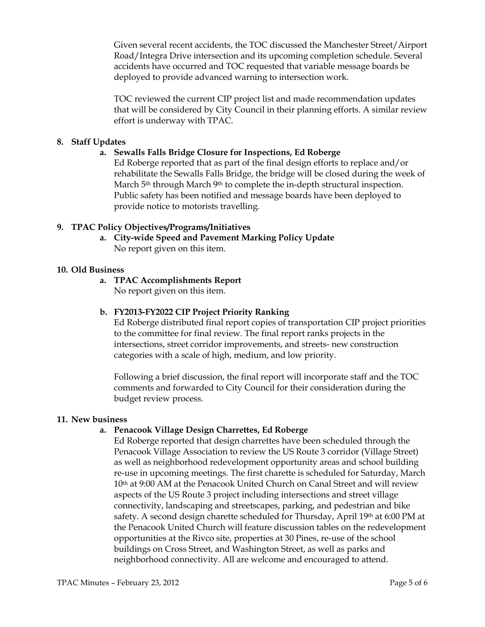Given several recent accidents, the TOC discussed the Manchester Street/Airport Road/Integra Drive intersection and its upcoming completion schedule. Several accidents have occurred and TOC requested that variable message boards be deployed to provide advanced warning to intersection work.

TOC reviewed the current CIP project list and made recommendation updates that will be considered by City Council in their planning efforts. A similar review effort is underway with TPAC.

## 8. Staff Updates

## a. Sewalls Falls Bridge Closure for Inspections, Ed Roberge

Ed Roberge reported that as part of the final design efforts to replace and/or rehabilitate the Sewalls Falls Bridge, the bridge will be closed during the week of March 5<sup>th</sup> through March 9<sup>th</sup> to complete the in-depth structural inspection. Public safety has been notified and message boards have been deployed to provide notice to motorists travelling.

### 9. TPAC Policy Objectives/Programs/Initiatives

a. City-wide Speed and Pavement Marking Policy Update No report given on this item.

#### 10. Old Business

a. TPAC Accomplishments Report

No report given on this item.

# b. FY2013-FY2022 CIP Project Priority Ranking

Ed Roberge distributed final report copies of transportation CIP project priorities to the committee for final review. The final report ranks projects in the intersections, street corridor improvements, and streets- new construction categories with a scale of high, medium, and low priority.

Following a brief discussion, the final report will incorporate staff and the TOC comments and forwarded to City Council for their consideration during the budget review process.

#### 11. New business

# a. Penacook Village Design Charrettes, Ed Roberge

Ed Roberge reported that design charrettes have been scheduled through the Penacook Village Association to review the US Route 3 corridor (Village Street) as well as neighborhood redevelopment opportunity areas and school building re-use in upcoming meetings. The first charette is scheduled for Saturday, March 10th at 9:00 AM at the Penacook United Church on Canal Street and will review aspects of the US Route 3 project including intersections and street village connectivity, landscaping and streetscapes, parking, and pedestrian and bike safety. A second design charette scheduled for Thursday, April 19th at 6:00 PM at the Penacook United Church will feature discussion tables on the redevelopment opportunities at the Rivco site, properties at 30 Pines, re-use of the school buildings on Cross Street, and Washington Street, as well as parks and neighborhood connectivity. All are welcome and encouraged to attend.